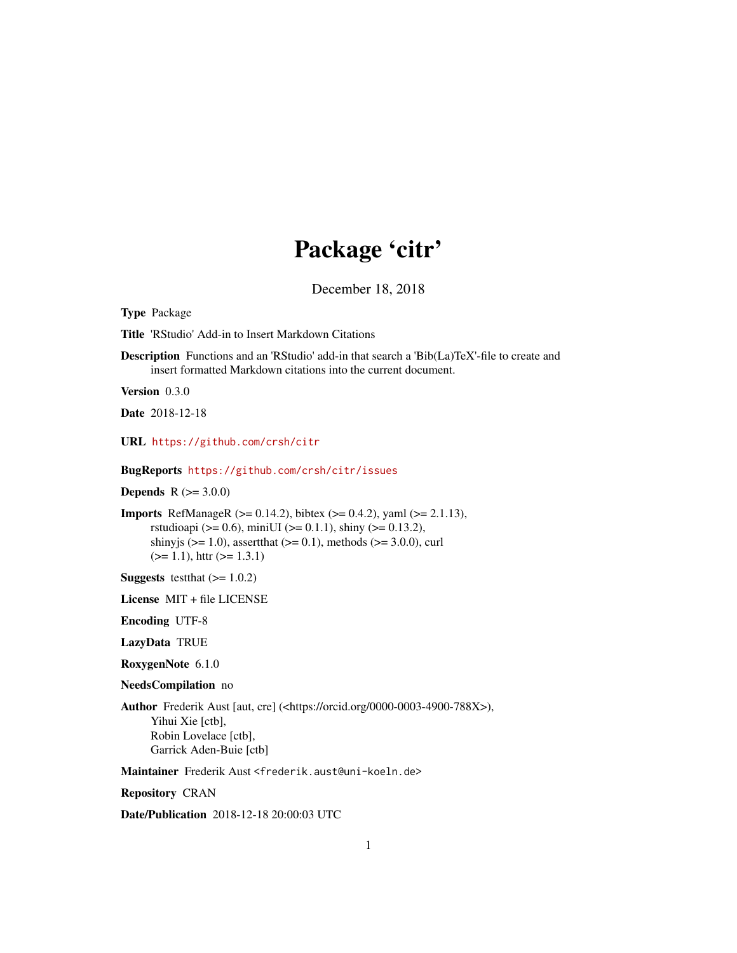## Package 'citr'

December 18, 2018

<span id="page-0-0"></span>Type Package

Title 'RStudio' Add-in to Insert Markdown Citations

Description Functions and an 'RStudio' add-in that search a 'Bib(La)TeX'-file to create and insert formatted Markdown citations into the current document.

Version 0.3.0

Date 2018-12-18

URL <https://github.com/crsh/citr>

BugReports <https://github.com/crsh/citr/issues>

**Depends**  $R (= 3.0.0)$ 

Imports RefManageR (>= 0.14.2), bibtex (>= 0.4.2), yaml (>= 2.1.13), rstudioapi ( $> = 0.6$ ), miniUI ( $> = 0.1.1$ ), shiny ( $> = 0.13.2$ ), shinyjs ( $>= 1.0$ ), assertthat ( $>= 0.1$ ), methods ( $>= 3.0.0$ ), curl  $(>= 1.1)$ , httr  $(>= 1.3.1)$ 

**Suggests** test that  $(>= 1.0.2)$ 

License MIT + file LICENSE

Encoding UTF-8

LazyData TRUE

RoxygenNote 6.1.0

NeedsCompilation no

Author Frederik Aust [aut, cre] (<https://orcid.org/0000-0003-4900-788X>), Yihui Xie [ctb], Robin Lovelace [ctb], Garrick Aden-Buie [ctb]

Maintainer Frederik Aust <frederik.aust@uni-koeln.de>

Repository CRAN

Date/Publication 2018-12-18 20:00:03 UTC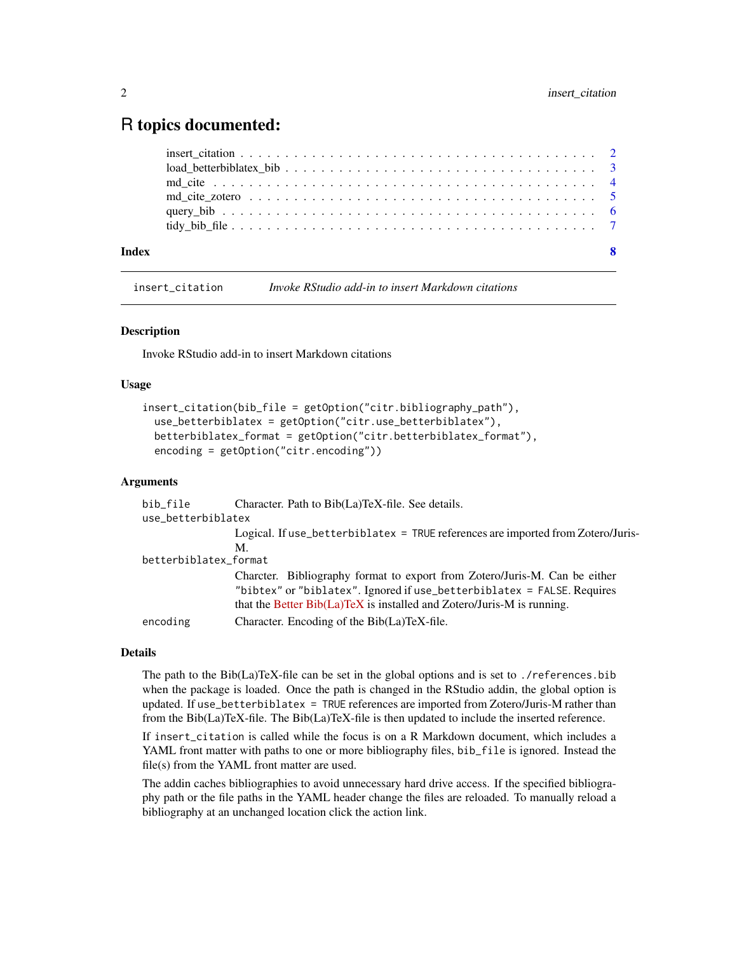### <span id="page-1-0"></span>R topics documented:

| Index | -8 |
|-------|----|
|       |    |
|       |    |
|       |    |
|       |    |
|       |    |
|       |    |

<span id="page-1-1"></span>insert\_citation *Invoke RStudio add-in to insert Markdown citations*

#### Description

Invoke RStudio add-in to insert Markdown citations

#### Usage

```
insert_citation(bib_file = getOption("citr.bibliography_path"),
 use_betterbiblatex = getOption("citr.use_betterbiblatex"),
 betterbiblatex_format = getOption("citr.betterbiblatex_format"),
  encoding = getOption("citr.encoding"))
```
#### Arguments

| Character. Path to Bib(La)TeX-file. See details.                                 |  |  |  |  |
|----------------------------------------------------------------------------------|--|--|--|--|
| use_betterbiblatex                                                               |  |  |  |  |
| Logical. If use_betterbiblatex = TRUE references are imported from Zotero/Juris- |  |  |  |  |
| M.                                                                               |  |  |  |  |
| betterbiblatex_format                                                            |  |  |  |  |
| Charcter. Bibliography format to export from Zotero/Juris-M. Can be either       |  |  |  |  |
| "bibtex" or "biblatex". Ignored if use_betterbiblatex = FALSE. Requires          |  |  |  |  |
| that the Better Bib(La)TeX is installed and Zotero/Juris-M is running.           |  |  |  |  |
| Character. Encoding of the Bib(La)TeX-file.                                      |  |  |  |  |
|                                                                                  |  |  |  |  |

#### Details

The path to the Bib(La)TeX-file can be set in the global options and is set to ./references.bib when the package is loaded. Once the path is changed in the RStudio addin, the global option is updated. If use\_betterbiblatex = TRUE references are imported from Zotero/Juris-M rather than from the Bib(La)TeX-file. The Bib(La)TeX-file is then updated to include the inserted reference.

If insert\_citation is called while the focus is on a R Markdown document, which includes a YAML front matter with paths to one or more bibliography files, bib\_file is ignored. Instead the file(s) from the YAML front matter are used.

The addin caches bibliographies to avoid unnecessary hard drive access. If the specified bibliography path or the file paths in the YAML header change the files are reloaded. To manually reload a bibliography at an unchanged location click the action link.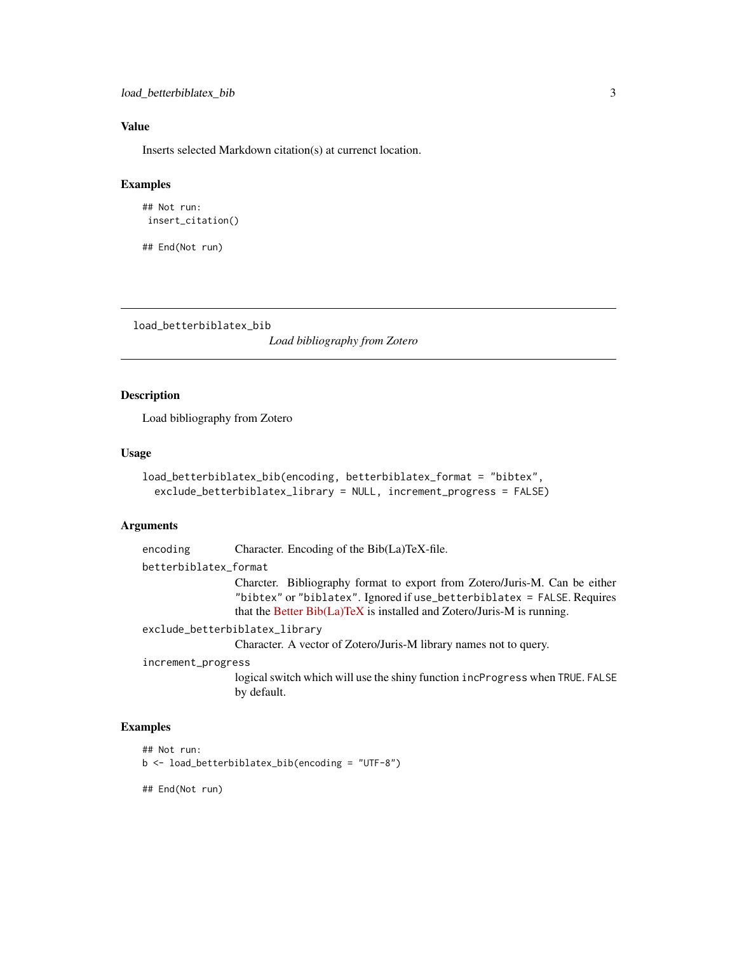#### <span id="page-2-0"></span>Value

Inserts selected Markdown citation(s) at currenct location.

#### Examples

```
## Not run:
insert_citation()
```
## End(Not run)

load\_betterbiblatex\_bib

*Load bibliography from Zotero*

#### Description

Load bibliography from Zotero

#### Usage

```
load_betterbiblatex_bib(encoding, betterbiblatex_format = "bibtex",
 exclude_betterbiblatex_library = NULL, increment_progress = FALSE)
```
#### Arguments

```
encoding Character. Encoding of the Bib(La)TeX-file.
betterbiblatex_format
                 Charcter. Bibliography format to export from Zotero/Juris-M. Can be either
                 "bibtex" or "biblatex". Ignored if use_betterbiblatex = FALSE. Requires
                 Better Bib(La)TeX is installed and Zotero/Juris-M is running.
exclude_betterbiblatex_library
                 Character. A vector of Zotero/Juris-M library names not to query.
increment_progress
```
logical switch which will use the shiny function incProgress when TRUE. FALSE by default.

#### Examples

```
## Not run:
```
b <- load\_betterbiblatex\_bib(encoding = "UTF-8")

## End(Not run)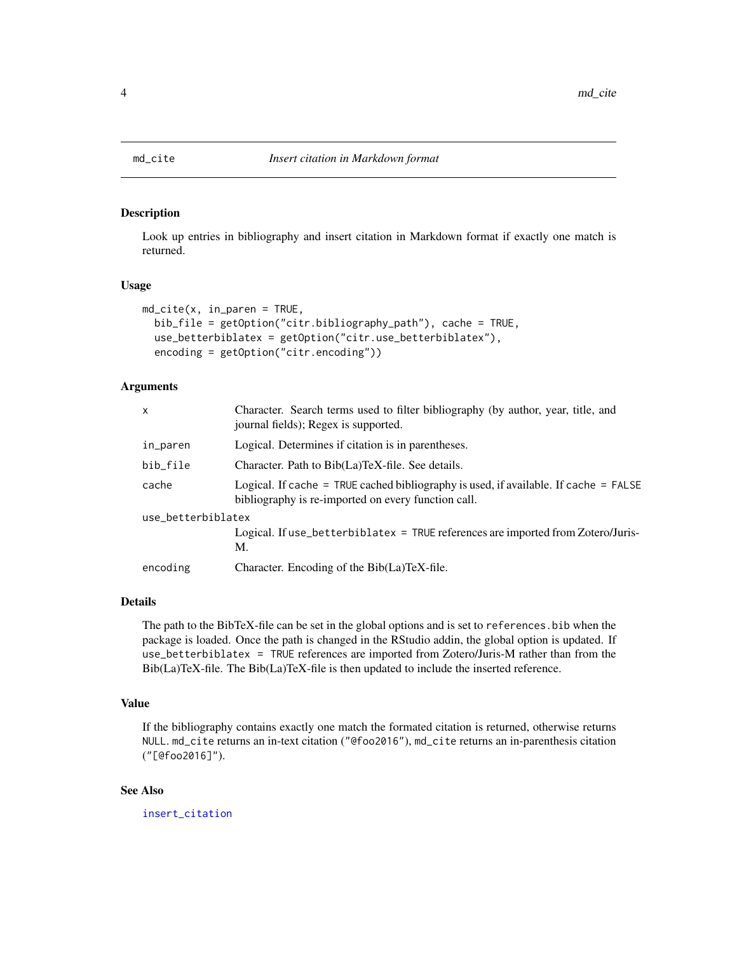<span id="page-3-1"></span><span id="page-3-0"></span>

#### Description

Look up entries in bibliography and insert citation in Markdown format if exactly one match is returned.

#### Usage

```
md_cite(x, in_paren = TRUE,
 bib_file = getOption("citr.bibliography_path"), cache = TRUE,
 use_betterbiblatex = getOption("citr.use_betterbiblatex"),
 encoding = getOption("citr.encoding"))
```
#### Arguments

| $\mathsf{x}$       | Character. Search terms used to filter bibliography (by author, year, title, and<br>journal fields); Regex is supported.                      |  |  |
|--------------------|-----------------------------------------------------------------------------------------------------------------------------------------------|--|--|
| in_paren           | Logical. Determines if citation is in parentheses.                                                                                            |  |  |
| bib_file           | Character. Path to Bib(La)TeX-file. See details.                                                                                              |  |  |
| cache              | Logical. If cache = TRUE cached bibliography is used, if available. If cache = $FALSE$<br>bibliography is re-imported on every function call. |  |  |
| use_betterbiblatex |                                                                                                                                               |  |  |
|                    | Logical. If use_betterbiblatex = TRUE references are imported from Zotero/Juris-<br>M.                                                        |  |  |
| encoding           | Character. Encoding of the Bib(La)TeX-file.                                                                                                   |  |  |

#### Details

The path to the BibTeX-file can be set in the global options and is set to references.bib when the package is loaded. Once the path is changed in the RStudio addin, the global option is updated. If use\_betterbiblatex = TRUE references are imported from Zotero/Juris-M rather than from the Bib(La)TeX-file. The Bib(La)TeX-file is then updated to include the inserted reference.

#### Value

If the bibliography contains exactly one match the formated citation is returned, otherwise returns NULL. md\_cite returns an in-text citation ("@foo2016"), md\_cite returns an in-parenthesis citation ("[@foo2016]").

#### See Also

[insert\\_citation](#page-1-1)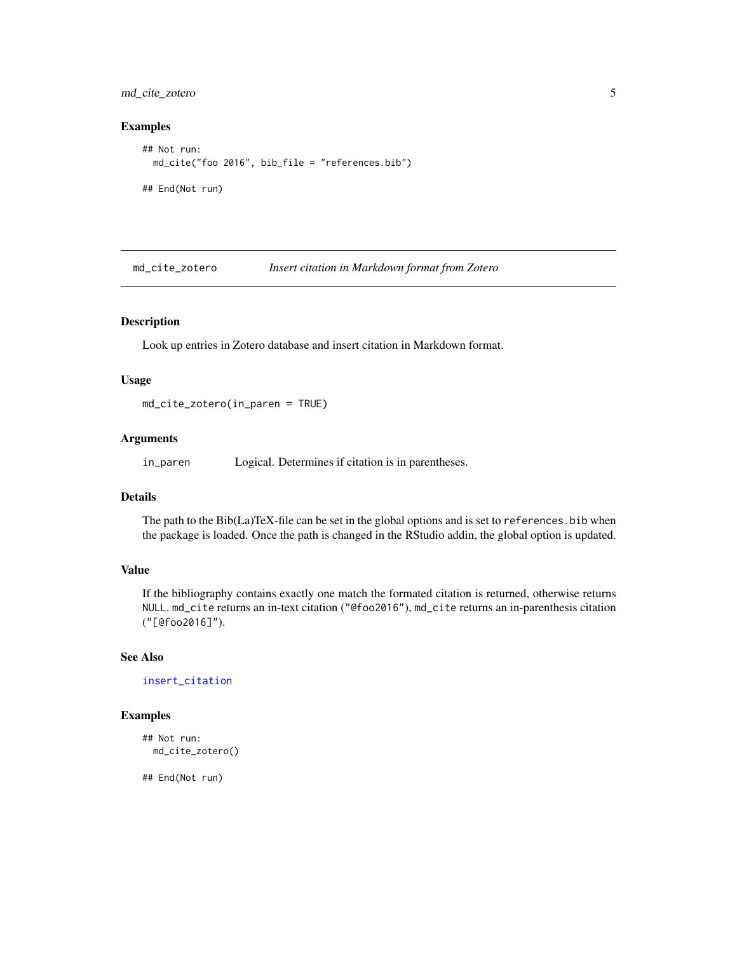<span id="page-4-0"></span>md\_cite\_zotero 5

#### Examples

```
## Not run:
 md_cite("foo 2016", bib_file = "references.bib")
## End(Not run)
```
md\_cite\_zotero *Insert citation in Markdown format from Zotero*

#### Description

Look up entries in Zotero database and insert citation in Markdown format.

#### Usage

md\_cite\_zotero(in\_paren = TRUE)

#### Arguments

in\_paren Logical. Determines if citation is in parentheses.

#### Details

The path to the Bib(La)TeX-file can be set in the global options and is set to references.bib when the package is loaded. Once the path is changed in the RStudio addin, the global option is updated.

#### Value

If the bibliography contains exactly one match the formated citation is returned, otherwise returns NULL. md\_cite returns an in-text citation ("@foo2016"), md\_cite returns an in-parenthesis citation ("[@foo2016]").

#### See Also

[insert\\_citation](#page-1-1)

#### Examples

```
## Not run:
 md_cite_zotero()
```
## End(Not run)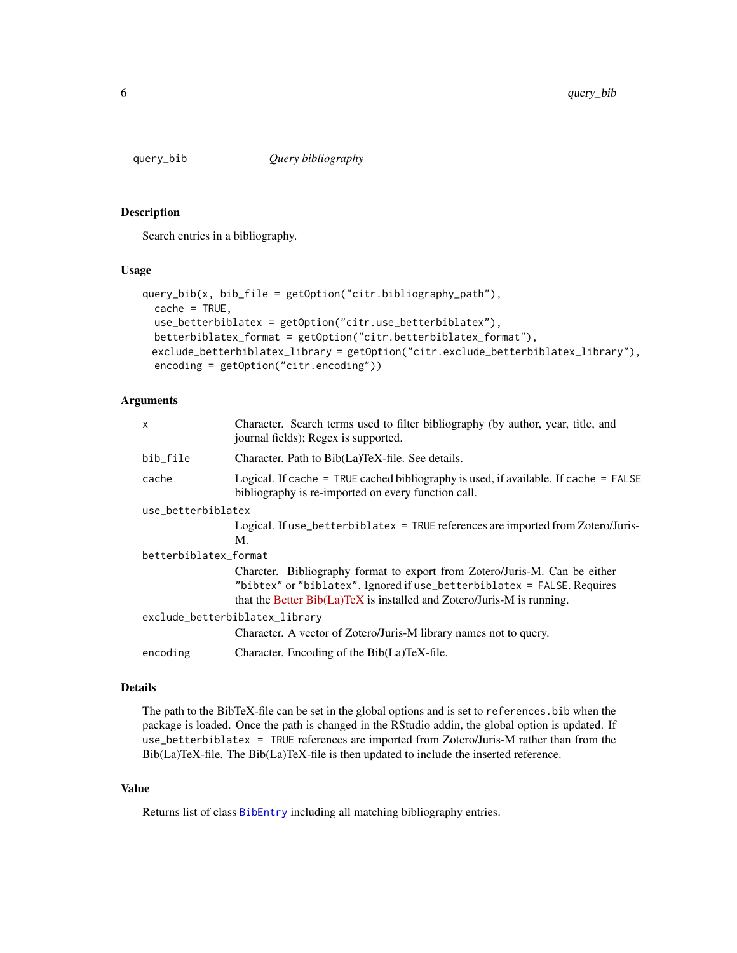<span id="page-5-0"></span>

#### Description

Search entries in a bibliography.

#### Usage

```
query_bib(x, bib_file = getOption("citr.bibliography_path"),
 cache = TRUE,use_betterbiblatex = getOption("citr.use_betterbiblatex"),
 betterbiblatex_format = getOption("citr.betterbiblatex_format"),
 exclude_betterbiblatex_library = getOption("citr.exclude_betterbiblatex_library"),
 encoding = getOption("citr.encoding"))
```
#### Arguments

| X                              | Character. Search terms used to filter bibliography (by author, year, title, and<br>journal fields); Regex is supported.                                                                                                           |  |
|--------------------------------|------------------------------------------------------------------------------------------------------------------------------------------------------------------------------------------------------------------------------------|--|
| bib_file                       | Character. Path to Bib(La)TeX-file. See details.                                                                                                                                                                                   |  |
| cache                          | Logical. If cache = TRUE cached bibliography is used, if available. If cache = $FALSE$<br>bibliography is re-imported on every function call.                                                                                      |  |
| use_betterbiblatex             |                                                                                                                                                                                                                                    |  |
|                                | Logical. If use_betterbiblatex = TRUE references are imported from Zotero/Juris-<br>M.                                                                                                                                             |  |
| betterbiblatex_format          |                                                                                                                                                                                                                                    |  |
|                                | Charcter. Bibliography format to export from Zotero/Juris-M. Can be either<br>"bibtex" or "biblatex". Ignored if use_betterbiblatex = FALSE. Requires<br>that the Better $Bib(La)$ TeX is installed and Zotero/Juris-M is running. |  |
| exclude_betterbiblatex_library |                                                                                                                                                                                                                                    |  |
|                                | Character. A vector of Zotero/Juris-M library names not to query.                                                                                                                                                                  |  |
| encoding                       | Character. Encoding of the Bib(La)TeX-file.                                                                                                                                                                                        |  |
|                                |                                                                                                                                                                                                                                    |  |

#### Details

The path to the BibTeX-file can be set in the global options and is set to references.bib when the package is loaded. Once the path is changed in the RStudio addin, the global option is updated. If use\_betterbiblatex = TRUE references are imported from Zotero/Juris-M rather than from the Bib(La)TeX-file. The Bib(La)TeX-file is then updated to include the inserted reference.

#### Value

Returns list of class [BibEntry](#page-0-0) including all matching bibliography entries.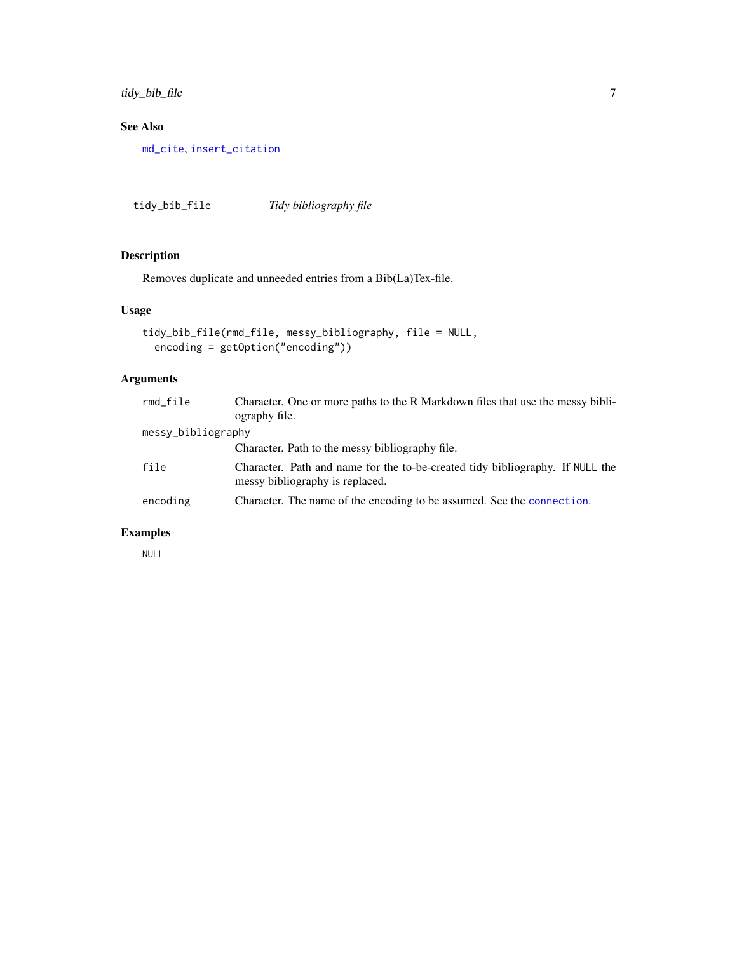<span id="page-6-0"></span>tidy\_bib\_file 7

#### See Also

[md\\_cite](#page-3-1), [insert\\_citation](#page-1-1)

tidy\_bib\_file *Tidy bibliography file*

#### Description

Removes duplicate and unneeded entries from a Bib(La)Tex-file.

#### Usage

```
tidy_bib_file(rmd_file, messy_bibliography, file = NULL,
 encoding = getOption("encoding"))
```
#### Arguments

| rmd_file           | Character. One or more paths to the R Markdown files that use the messy bibli-<br>ography file.                  |
|--------------------|------------------------------------------------------------------------------------------------------------------|
| messy_bibliography |                                                                                                                  |
|                    | Character. Path to the messy bibliography file.                                                                  |
| file               | Character. Path and name for the to-be-created tidy bibliography. If NULL the<br>messy bibliography is replaced. |
| encoding           | Character. The name of the encoding to be assumed. See the connection.                                           |

#### Examples

NULL